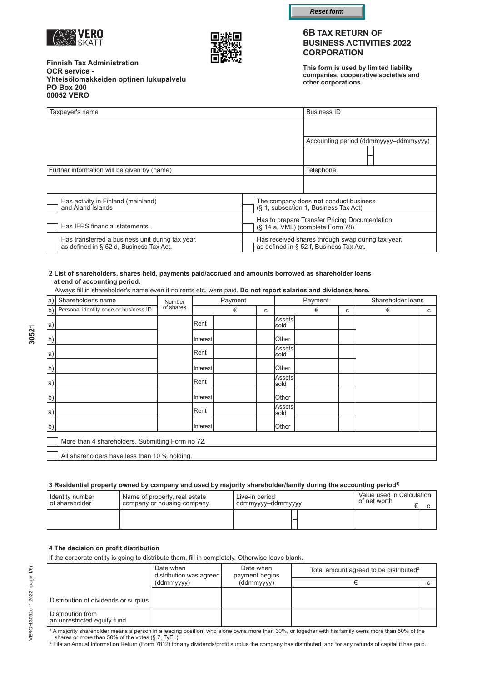



**Finnish Tax Administration OCR service - Yhteisölomakkeiden optinen lukupalvelu PO Box 200 00052 VERO** 

### **6B TAX RETURN OF BUSINESS ACTIVITIES 2022 CORPORATION**

**This form is used by limited liability companies, cooperative societies and other corporations.**

| Taxpayer's name                |                                                                                             |  |                                                                                    | <b>Business ID</b>                                                                           |  |  |
|--------------------------------|---------------------------------------------------------------------------------------------|--|------------------------------------------------------------------------------------|----------------------------------------------------------------------------------------------|--|--|
|                                |                                                                                             |  |                                                                                    |                                                                                              |  |  |
|                                |                                                                                             |  |                                                                                    | Accounting period (ddmmyyyy-ddmmyyyy)                                                        |  |  |
|                                |                                                                                             |  |                                                                                    |                                                                                              |  |  |
|                                | Further information will be given by (name)                                                 |  |                                                                                    | Telephone                                                                                    |  |  |
|                                |                                                                                             |  |                                                                                    |                                                                                              |  |  |
|                                | Has activity in Finland (mainland)<br>and Åland Islands                                     |  |                                                                                    | The company does not conduct business<br>(§ 1, subsection 1, Business Tax Act)               |  |  |
| Has IFRS financial statements. |                                                                                             |  | Has to prepare Transfer Pricing Documentation<br>(§ 14 a, VML) (complete Form 78). |                                                                                              |  |  |
|                                | Has transferred a business unit during tax year,<br>as defined in § 52 d. Business Tax Act. |  |                                                                                    | Has received shares through swap during tax year,<br>as defined in § 52 f, Business Tax Act. |  |  |

#### **2 List of shareholders, shares held, payments paid/accrued and amounts borrowed as shareholder loans at end of accounting period.**

Always fill in shareholder's name even if no rents etc. were paid. **Do not report salaries and dividends here.** 

| $ a\rangle $ | Shareholder's name                               | Number    |               | Payment |  | Payment               |   |   | Shareholder loans |   |
|--------------|--------------------------------------------------|-----------|---------------|---------|--|-----------------------|---|---|-------------------|---|
|              | (b) Personal identity code or business ID        | of shares |               | €       |  |                       | € | C | €                 | C |
| a)           |                                                  |           | Rent          |         |  | <b>Assets</b><br>sold |   |   |                   |   |
| b)           |                                                  |           | Interest      |         |  | Other                 |   |   |                   |   |
| a)           |                                                  |           | <b>I</b> Rent |         |  | Assets<br>sold        |   |   |                   |   |
| b)           |                                                  |           | Interest      |         |  | <b>O</b> ther         |   |   |                   |   |
| la)          |                                                  |           | IRent         |         |  | Assetsl<br>sold       |   |   |                   |   |
| b)           |                                                  |           | Interest      |         |  | Other                 |   |   |                   |   |
| a)           |                                                  |           | Rent          |         |  | Assets<br>sold        |   |   |                   |   |
| (b)          |                                                  |           | Interest      |         |  | Other                 |   |   |                   |   |
|              | More than 4 shareholders. Submitting Form no 72. |           |               |         |  |                       |   |   |                   |   |
|              | All shareholders have less than 10 % holding.    |           |               |         |  |                       |   |   |                   |   |

#### 3 Residential property owned by company and used by majority shareholder/family during the accounting period<sup>1)</sup>

| Identity number  | Name of property, real estate | Live-in period    | Value used in Calculation |  |
|------------------|-------------------------------|-------------------|---------------------------|--|
| l of shareholder | company or housing company    | ddmmyyyy-ddmmyyyy | of net worth              |  |
|                  |                               |                   |                           |  |

#### **4 The decision on profit distribution**

If the corporate entity is going to distribute them, fill in completely. Otherwise leave blank.

|                                                  | Date when<br>distribution was agreed | Date when<br>payment begins | Total amount agreed to be distributed <sup>2</sup> |  |
|--------------------------------------------------|--------------------------------------|-----------------------------|----------------------------------------------------|--|
|                                                  | (ddmmyyyy)                           | (ddmmyyyy)                  |                                                    |  |
|                                                  |                                      |                             |                                                    |  |
| Distribution of dividends or surplus             |                                      |                             |                                                    |  |
| Distribution from<br>an unrestricted equity fund |                                      |                             |                                                    |  |

<sup>1</sup>A majority shareholder means a person in a leading position, who alone owns more than 30%, or together with his family owns more than 50% of the shares or more than 50% of the votes (§ 7, TyEL).

2 File an Annual Information Return (Form 7812) for any dividends/profit surplus the company has distributed, and for any refunds of capital it has paid.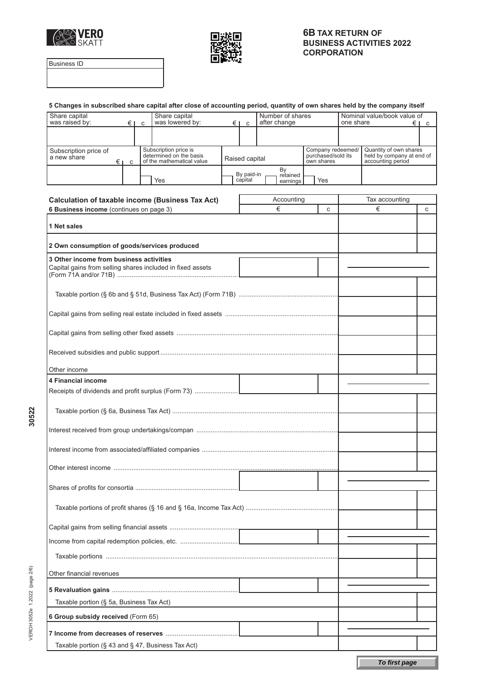



Business ID

VEROH 3052e 1.2022 (page 2/6) **30522** 

VEROH 3052e 1.2022 (page 2/6)

30522

|                                                                                           |     | 5 Changes in subscribed share capital after close of accounting period, quantity of own shares held by the company itself |  |                                  |                |                                                       |                                                            |                                                                          |   |
|-------------------------------------------------------------------------------------------|-----|---------------------------------------------------------------------------------------------------------------------------|--|----------------------------------|----------------|-------------------------------------------------------|------------------------------------------------------------|--------------------------------------------------------------------------|---|
| Share capital<br>Share capital<br>was lowered by:<br>was raised by:<br>$E \mid C$<br>€I c |     |                                                                                                                           |  | Number of shares<br>after change |                |                                                       | Nominal value/book value of<br>one share<br>$\epsilon$   c |                                                                          |   |
|                                                                                           |     |                                                                                                                           |  |                                  |                |                                                       |                                                            |                                                                          |   |
|                                                                                           |     |                                                                                                                           |  |                                  |                |                                                       |                                                            |                                                                          |   |
| Subscription price of<br>a new share                                                      | €ıc | Subscription price is<br>determined on the basis<br>of the mathematical value                                             |  | Raised capital                   |                | Company redeemed/<br>purchased/sold its<br>own shares |                                                            | Quantity of own shares<br>held by company at end of<br>accounting period |   |
|                                                                                           |     |                                                                                                                           |  | By paid-in                       | By<br>retained |                                                       |                                                            |                                                                          |   |
|                                                                                           |     | Yes                                                                                                                       |  | capital                          | earnings       | Yes                                                   |                                                            |                                                                          |   |
|                                                                                           |     | <b>Calculation of taxable income (Business Tax Act)</b>                                                                   |  |                                  | Accounting     |                                                       |                                                            | Tax accounting                                                           |   |
| 6 Business income (continues on page 3)                                                   |     |                                                                                                                           |  |                                  | €              | C                                                     |                                                            | €                                                                        | C |
|                                                                                           |     |                                                                                                                           |  |                                  |                |                                                       |                                                            |                                                                          |   |
| 1 Net sales                                                                               |     |                                                                                                                           |  |                                  |                |                                                       |                                                            |                                                                          |   |
| 2 Own consumption of goods/services produced                                              |     |                                                                                                                           |  |                                  |                |                                                       |                                                            |                                                                          |   |
|                                                                                           |     |                                                                                                                           |  |                                  |                |                                                       |                                                            |                                                                          |   |
| 3 Other income from business activities                                                   |     | Capital gains from selling shares included in fixed assets                                                                |  |                                  |                |                                                       |                                                            |                                                                          |   |
|                                                                                           |     |                                                                                                                           |  |                                  |                |                                                       |                                                            |                                                                          |   |
|                                                                                           |     |                                                                                                                           |  |                                  |                |                                                       |                                                            |                                                                          |   |
|                                                                                           |     |                                                                                                                           |  |                                  |                |                                                       |                                                            |                                                                          |   |
|                                                                                           |     |                                                                                                                           |  |                                  |                |                                                       |                                                            |                                                                          |   |
| Other income                                                                              |     |                                                                                                                           |  |                                  |                |                                                       |                                                            |                                                                          |   |
| 4 Financial income                                                                        |     |                                                                                                                           |  |                                  |                |                                                       |                                                            |                                                                          |   |
|                                                                                           |     |                                                                                                                           |  |                                  |                |                                                       |                                                            |                                                                          |   |
|                                                                                           |     |                                                                                                                           |  |                                  |                |                                                       |                                                            |                                                                          |   |
|                                                                                           |     |                                                                                                                           |  |                                  |                |                                                       |                                                            |                                                                          |   |
|                                                                                           |     |                                                                                                                           |  |                                  |                |                                                       |                                                            |                                                                          |   |
|                                                                                           |     |                                                                                                                           |  |                                  |                |                                                       |                                                            |                                                                          |   |
|                                                                                           |     |                                                                                                                           |  |                                  |                |                                                       |                                                            |                                                                          |   |
|                                                                                           |     |                                                                                                                           |  |                                  |                |                                                       |                                                            |                                                                          |   |
|                                                                                           |     |                                                                                                                           |  |                                  |                |                                                       |                                                            |                                                                          |   |
|                                                                                           |     |                                                                                                                           |  |                                  |                |                                                       |                                                            |                                                                          |   |
|                                                                                           |     |                                                                                                                           |  |                                  |                |                                                       |                                                            |                                                                          |   |
| Other financial revenues                                                                  |     |                                                                                                                           |  |                                  |                |                                                       |                                                            |                                                                          |   |
|                                                                                           |     |                                                                                                                           |  |                                  |                |                                                       |                                                            |                                                                          |   |
| Taxable portion (§ 5a, Business Tax Act)                                                  |     |                                                                                                                           |  |                                  |                |                                                       |                                                            |                                                                          |   |
| 6 Group subsidy received (Form 65)                                                        |     |                                                                                                                           |  |                                  |                |                                                       |                                                            |                                                                          |   |
|                                                                                           |     |                                                                                                                           |  |                                  |                |                                                       |                                                            |                                                                          |   |
| Taxable portion ( $\S$ 43 and $\S$ 47, Business Tax Act)                                  |     |                                                                                                                           |  |                                  |                |                                                       |                                                            |                                                                          |   |
|                                                                                           |     |                                                                                                                           |  |                                  |                |                                                       |                                                            |                                                                          |   |
|                                                                                           |     |                                                                                                                           |  |                                  |                |                                                       |                                                            | To first page                                                            |   |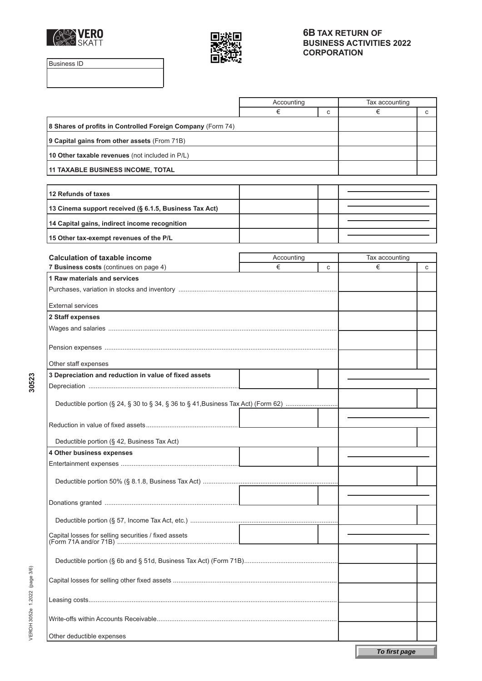



Business ID

|                                                                                   | Accounting      |   | Tax accounting      |   |
|-----------------------------------------------------------------------------------|-----------------|---|---------------------|---|
|                                                                                   | €               | C | €                   | C |
| 8 Shares of profits in Controlled Foreign Company (Form 74)                       |                 |   |                     |   |
| 9 Capital gains from other assets (From 71B)                                      |                 |   |                     |   |
| 10 Other taxable revenues (not included in P/L)                                   |                 |   |                     |   |
| <b>11 TAXABLE BUSINESS INCOME, TOTAL</b>                                          |                 |   |                     |   |
|                                                                                   |                 |   |                     |   |
| 12 Refunds of taxes                                                               |                 |   |                     |   |
| 13 Cinema support received (§ 6.1.5, Business Tax Act)                            |                 |   |                     |   |
| 14 Capital gains, indirect income recognition                                     |                 |   |                     |   |
| 15 Other tax-exempt revenues of the P/L                                           |                 |   |                     |   |
| <b>Calculation of taxable income</b>                                              |                 |   |                     |   |
|                                                                                   | Accounting<br>€ |   | Tax accounting<br>€ |   |
| 7 Business costs (continues on page 4)                                            |                 | C |                     | C |
| 1 Raw materials and services                                                      |                 |   |                     |   |
|                                                                                   |                 |   |                     |   |
| <b>External services</b>                                                          |                 |   |                     |   |
| 2 Staff expenses                                                                  |                 |   |                     |   |
|                                                                                   |                 |   |                     |   |
|                                                                                   |                 |   |                     |   |
| Other staff expenses                                                              |                 |   |                     |   |
| 3 Depreciation and reduction in value of fixed assets                             |                 |   |                     |   |
|                                                                                   |                 |   |                     |   |
| Deductible portion (§ 24, § 30 to § 34, § 36 to § 41, Business Tax Act) (Form 62) |                 |   |                     |   |
|                                                                                   |                 |   |                     |   |
|                                                                                   |                 |   |                     |   |
| Deductible portion (§ 42, Business Tax Act)                                       |                 |   |                     |   |
| 4 Other business expenses                                                         |                 |   |                     |   |
|                                                                                   |                 |   |                     |   |
|                                                                                   |                 |   |                     |   |
|                                                                                   |                 |   |                     |   |
|                                                                                   |                 |   |                     |   |
|                                                                                   |                 |   |                     |   |
| Capital losses for selling securities / fixed assets                              |                 |   |                     |   |
|                                                                                   |                 |   |                     |   |
|                                                                                   |                 |   |                     |   |
|                                                                                   |                 |   |                     |   |
|                                                                                   |                 |   |                     |   |
|                                                                                   |                 |   |                     |   |
|                                                                                   |                 |   |                     |   |
| Other deductible expenses                                                         |                 |   |                     |   |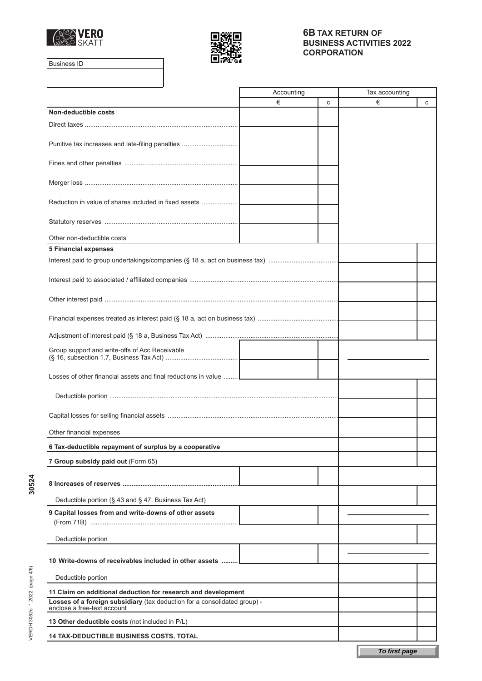



Business ID

|                                                                                                          | Accounting |   | Tax accounting |  |
|----------------------------------------------------------------------------------------------------------|------------|---|----------------|--|
|                                                                                                          | €          | C | €<br>C         |  |
| Non-deductible costs                                                                                     |            |   |                |  |
|                                                                                                          |            |   |                |  |
|                                                                                                          |            |   |                |  |
| Punitive tax increases and late-filing penalties                                                         |            |   |                |  |
|                                                                                                          |            |   |                |  |
|                                                                                                          |            |   |                |  |
|                                                                                                          |            |   |                |  |
|                                                                                                          |            |   |                |  |
| Reduction in value of shares included in fixed assets                                                    |            |   |                |  |
|                                                                                                          |            |   |                |  |
|                                                                                                          |            |   |                |  |
| Other non-deductible costs                                                                               |            |   |                |  |
| <b>5 Financial expenses</b>                                                                              |            |   |                |  |
|                                                                                                          |            |   |                |  |
|                                                                                                          |            |   |                |  |
|                                                                                                          |            |   |                |  |
|                                                                                                          |            |   |                |  |
|                                                                                                          |            |   |                |  |
|                                                                                                          |            |   |                |  |
|                                                                                                          |            |   |                |  |
|                                                                                                          |            |   |                |  |
| Group support and write-offs of Acc Receivable                                                           |            |   |                |  |
|                                                                                                          |            |   |                |  |
|                                                                                                          |            |   |                |  |
| Losses of other financial assets and final reductions in value                                           |            |   |                |  |
|                                                                                                          |            |   |                |  |
|                                                                                                          |            |   |                |  |
|                                                                                                          |            |   |                |  |
|                                                                                                          |            |   |                |  |
| Other financial expenses                                                                                 |            |   |                |  |
| 6 Tax-deductible repayment of surplus by a cooperative                                                   |            |   |                |  |
| 7 Group subsidy paid out (Form 65)                                                                       |            |   |                |  |
|                                                                                                          |            |   |                |  |
|                                                                                                          |            |   |                |  |
|                                                                                                          |            |   |                |  |
| Deductible portion (§ 43 and § 47, Business Tax Act)                                                     |            |   |                |  |
| 9 Capital losses from and write-downs of other assets                                                    |            |   |                |  |
|                                                                                                          |            |   |                |  |
| Deductible portion                                                                                       |            |   |                |  |
|                                                                                                          |            |   |                |  |
| 10 Write-downs of receivables included in other assets                                                   |            |   |                |  |
|                                                                                                          |            |   |                |  |
| Deductible portion                                                                                       |            |   |                |  |
| 11 Claim on additional deduction for research and development                                            |            |   |                |  |
| Losses of a foreign subsidiary (tax deduction for a consolidated group) -<br>enclose a free-text account |            |   |                |  |
|                                                                                                          |            |   |                |  |
| 13 Other deductible costs (not included in P/L)                                                          |            |   |                |  |
| <b>14 TAX-DEDUCTIBLE BUSINESS COSTS, TOTAL</b>                                                           |            |   |                |  |
|                                                                                                          |            |   | To first page  |  |
|                                                                                                          |            |   |                |  |

VEROH 3052e 1.2022 (page 4/6) 1.2022 VEROH 3052e **30524** 

30524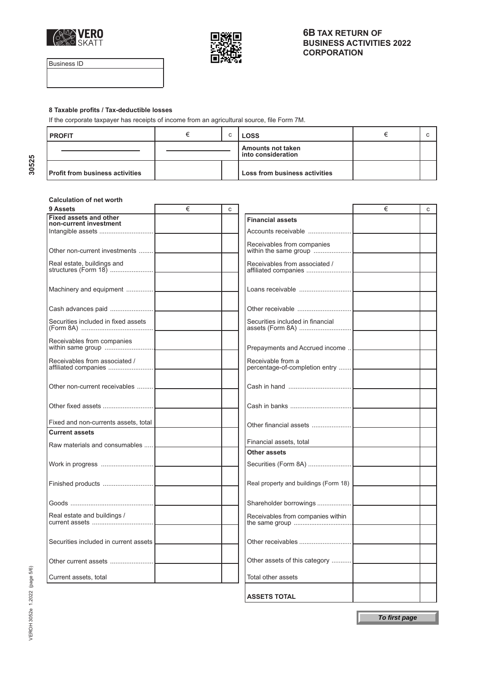



Business ID

30525

### **8 Taxable profits / Tax-deductible losses**

If the corporate taxpayer has receipts of income from an agricultural source, file Form 7M.

| l PROFIT                               |  | <b>LOSS</b>                             |  |
|----------------------------------------|--|-----------------------------------------|--|
|                                        |  | Amounts not taken<br>into consideration |  |
| <b>Profit from business activities</b> |  | Loss from business activities           |  |

#### **Calculation of net worth**

| 9 Assets                                                | € | C |                                       | € | C |
|---------------------------------------------------------|---|---|---------------------------------------|---|---|
| <b>Fixed assets and other</b><br>non-current investment |   |   | <b>Financial assets</b>               |   |   |
|                                                         |   |   | Accounts receivable                   |   |   |
|                                                         |   |   | Receivables from companies            |   |   |
| Other non-current investments                           |   |   |                                       |   |   |
| Real estate, buildings and                              |   |   | Receivables from associated /         |   |   |
|                                                         |   |   |                                       |   |   |
|                                                         |   |   |                                       |   |   |
| Machinery and equipment                                 |   |   |                                       |   |   |
|                                                         |   |   |                                       |   |   |
|                                                         |   |   |                                       |   |   |
| Securities included in fixed assets                     |   |   | Securities included in financial      |   |   |
| Receivables from companies                              |   |   |                                       |   |   |
|                                                         |   |   | Prepayments and Accrued income        |   |   |
| Receivables from associated /                           |   |   | Receivable from a                     |   |   |
|                                                         |   |   | percentage-of-completion entry        |   |   |
|                                                         |   |   |                                       |   |   |
| Other non-current receivables                           |   |   |                                       |   |   |
|                                                         |   |   |                                       |   |   |
|                                                         |   |   |                                       |   |   |
| Fixed and non-currents assets, total                    |   |   | Other financial assets                |   |   |
| <b>Current assets</b>                                   |   |   |                                       |   |   |
| Raw materials and consumables                           |   |   | Financial assets, total               |   |   |
|                                                         |   |   | <b>Other assets</b>                   |   |   |
|                                                         |   |   |                                       |   |   |
|                                                         |   |   |                                       |   |   |
|                                                         |   |   | Real property and buildings (Form 18) |   |   |
|                                                         |   |   | Shareholder borrowings                |   |   |
|                                                         |   |   |                                       |   |   |
| Real estate and buildings /                             |   |   | Receivables from companies within     |   |   |
|                                                         |   |   |                                       |   |   |
| Securities included in current assets                   |   |   |                                       |   |   |
|                                                         |   |   |                                       |   |   |
| Other current assets                                    |   |   | Other assets of this category         |   |   |
| Current assets, total                                   |   |   | Total other assets                    |   |   |
|                                                         |   |   |                                       |   |   |
|                                                         |   |   | <b>ASSETS TOTAL</b>                   |   |   |

**To first page**